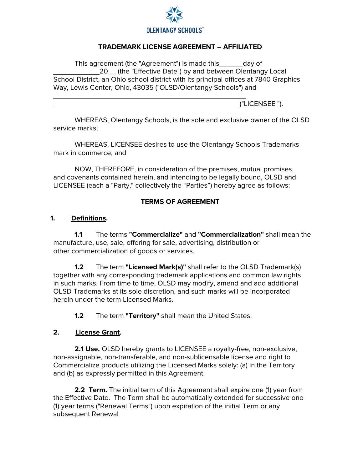

## **TRADEMARK LICENSE AGREEMENT – AFFILIATED**

This agreement (the "Agreement") is made this day of 20\_\_ (the "Effective Date") by and between Olentangy Local School District, an Ohio school district with its principal offices at 7840 Graphics Way, Lewis Center, Ohio, 43035 ("OLSD/Olentangy Schools") and

("LICENSEE ").

WHEREAS, Olentangy Schools, is the sole and exclusive owner of the OLSD service marks;

WHEREAS, LICENSEE desires to use the Olentangy Schools Trademarks mark in commerce; and

NOW, THEREFORE, in consideration of the premises, mutual promises, and covenants contained herein, and intending to be legally bound, OLSD and LICENSEE (each a "Party," collectively the "Parties") hereby agree as follows:

## **TERMS OF AGREEMENT**

#### **1. Definitions.**

**1.1** The terms **"Commercialize"** and **"Commercialization"** shall mean the manufacture, use, sale, offering for sale, advertising, distribution or other commercialization of goods or services.

**1.2** The term **"Licensed Mark(s)"** shall refer to the OLSD Trademark(s) together with any corresponding trademark applications and common law rights in such marks. From time to time, OLSD may modify, amend and add additional OLSD Trademarks at its sole discretion, and such marks will be incorporated herein under the term Licensed Marks.

**1.2** The term **"Territory"** shall mean the United States.

#### **2. License Grant.**

**2.1 Use.** OLSD hereby grants to LICENSEE a royalty-free, non-exclusive, non-assignable, non-transferable, and non-sublicensable license and right to Commercialize products utilizing the Licensed Marks solely: (a) in the Territory and (b) as expressly permitted in this Agreement.

**2.2 Term.** The initial term of this Agreement shall expire one (1) year from the Effective Date. The Term shall be automatically extended for successive one (1) year terms ("Renewal Terms") upon expiration of the initial Term or any subsequent Renewal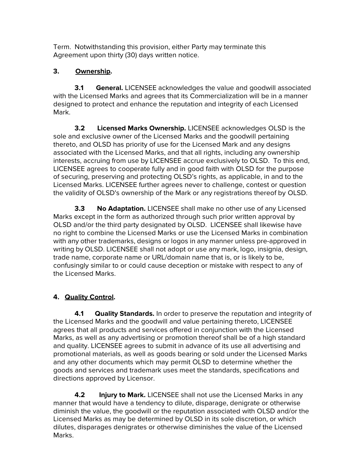Term. Notwithstanding this provision, either Party may terminate this Agreement upon thirty (30) days written notice.

# **3. Ownership.**

**3.1 General.** LICENSEE acknowledges the value and goodwill associated with the Licensed Marks and agrees that its Commercialization will be in a manner designed to protect and enhance the reputation and integrity of each Licensed Mark.

**3.2 Licensed Marks Ownership.** LICENSEE acknowledges OLSD is the sole and exclusive owner of the Licensed Marks and the goodwill pertaining thereto, and OLSD has priority of use for the Licensed Mark and any designs associated with the Licensed Marks, and that all rights, including any ownership interests, accruing from use by LICENSEE accrue exclusively to OLSD. To this end, LICENSEE agrees to cooperate fully and in good faith with OLSD for the purpose of securing, preserving and protecting OLSD's rights, as applicable, in and to the Licensed Marks. LICENSEE further agrees never to challenge, contest or question the validity of OLSD's ownership of the Mark or any registrations thereof by OLSD.

**3.3 No Adaptation.** LICENSEE shall make no other use of any Licensed Marks except in the form as authorized through such prior written approval by OLSD and/or the third party designated by OLSD. LICENSEE shall likewise have no right to combine the Licensed Marks or use the Licensed Marks in combination with any other trademarks, designs or logos in any manner unless pre-approved in writing by OLSD. LICENSEE shall not adopt or use any mark, logo, insignia, design, trade name, corporate name or URL/domain name that is, or is likely to be, confusingly similar to or could cause deception or mistake with respect to any of the Licensed Marks.

# **4. Quality Control.**

**4.1 Quality Standards.** In order to preserve the reputation and integrity of the Licensed Marks and the goodwill and value pertaining thereto, LICENSEE agrees that all products and services offered in conjunction with the Licensed Marks, as well as any advertising or promotion thereof shall be of a high standard and quality. LICENSEE agrees to submit in advance of its use all advertising and promotional materials, as well as goods bearing or sold under the Licensed Marks and any other documents which may permit OLSD to determine whether the goods and services and trademark uses meet the standards, specifications and directions approved by Licensor.

**4.2 Injury to Mark.** LICENSEE shall not use the Licensed Marks in any manner that would have a tendency to dilute, disparage, denigrate or otherwise diminish the value, the goodwill or the reputation associated with OLSD and/or the Licensed Marks as may be determined by OLSD in its sole discretion, or which dilutes, disparages denigrates or otherwise diminishes the value of the Licensed Marks.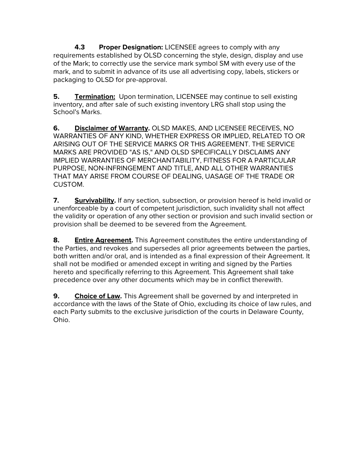**4.3 Proper Designation:** LICENSEE agrees to comply with any requirements established by OLSD concerning the style, design, display and use of the Mark; to correctly use the service mark symbol SM with every use of the mark, and to submit in advance of its use all advertising copy, labels, stickers or packaging to OLSD for pre-approval.

**5. Termination:** Upon termination, LICENSEE may continue to sell existing inventory, and after sale of such existing inventory LRG shall stop using the School's Marks.

**6. Disclaimer of Warranty.** OLSD MAKES, AND LICENSEE RECEIVES, NO WARRANTIES OF ANY KIND, WHETHER EXPRESS OR IMPLIED, RELATED TO OR ARISING OUT OF THE SERVICE MARKS OR THIS AGREEMENT. THE SERVICE MARKS ARE PROVIDED "AS IS," AND OLSD SPECIFICALLY DISCLAIMS ANY IMPLIED WARRANTIES OF MERCHANTABILITY, FITNESS FOR A PARTICULAR PURPOSE, NON-INFRINGEMENT AND TITLE, AND ALL OTHER WARRANTIES THAT MAY ARISE FROM COURSE OF DEALING, UASAGE OF THE TRADE OR CUSTOM.

**7. Survivability.** If any section, subsection, or provision hereof is held invalid or unenforceable by a court of competent jurisdiction, such invalidity shall not affect the validity or operation of any other section or provision and such invalid section or provision shall be deemed to be severed from the Agreement.

**8. Entire Agreement.** This Agreement constitutes the entire understanding of the Parties, and revokes and supersedes all prior agreements between the parties, both written and/or oral, and is intended as a final expression of their Agreement. It shall not be modified or amended except in writing and signed by the Parties hereto and specifically referring to this Agreement. This Agreement shall take precedence over any other documents which may be in conflict therewith.

**9. Choice of Law.** This Agreement shall be governed by and interpreted in accordance with the laws of the State of Ohio, excluding its choice of law rules, and each Party submits to the exclusive jurisdiction of the courts in Delaware County, Ohio.